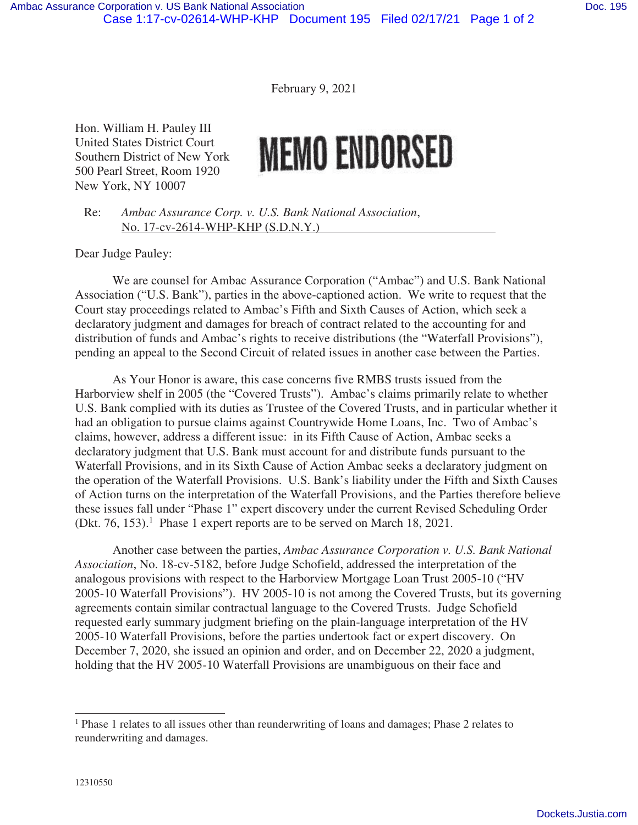February 9, 2021

Hon. William H. Pauley III United States District Court Southern District of New York 500 Pearl Street, Room 1920 New York, NY 10007

## **MEMO ENDORSED**

Re: *Ambac Assurance Corp. v. U.S. Bank National Association*, No. 17-cv-2614-WHP-KHP (S.D.N.Y.)

Dear Judge Pauley:

We are counsel for Ambac Assurance Corporation ("Ambac") and U.S. Bank National Association ("U.S. Bank"), parties in the above-captioned action. We write to request that the Court stay proceedings related to Ambac's Fifth and Sixth Causes of Action, which seek a declaratory judgment and damages for breach of contract related to the accounting for and distribution of funds and Ambac's rights to receive distributions (the "Waterfall Provisions"), pending an appeal to the Second Circuit of related issues in another case between the Parties.

As Your Honor is aware, this case concerns five RMBS trusts issued from the Harborview shelf in 2005 (the "Covered Trusts"). Ambac's claims primarily relate to whether U.S. Bank complied with its duties as Trustee of the Covered Trusts, and in particular whether it had an obligation to pursue claims against Countrywide Home Loans, Inc. Two of Ambac's claims, however, address a different issue: in its Fifth Cause of Action, Ambac seeks a declaratory judgment that U.S. Bank must account for and distribute funds pursuant to the Waterfall Provisions, and in its Sixth Cause of Action Ambac seeks a declaratory judgment on the operation of the Waterfall Provisions. U.S. Bank's liability under the Fifth and Sixth Causes of Action turns on the interpretation of the Waterfall Provisions, and the Parties therefore believe these issues fall under "Phase 1" expert discovery under the current Revised Scheduling Order (Dkt. 76, 153).<sup>1</sup> Phase 1 expert reports are to be served on March 18, 2021.

Another case between the parties, *Ambac Assurance Corporation v. U.S. Bank National Association*, No. 18-cv-5182, before Judge Schofield, addressed the interpretation of the analogous provisions with respect to the Harborview Mortgage Loan Trust 2005-10 ("HV 2005-10 Waterfall Provisions"). HV 2005-10 is not among the Covered Trusts, but its governing agreements contain similar contractual language to the Covered Trusts. Judge Schofield requested early summary judgment briefing on the plain-language interpretation of the HV 2005-10 Waterfall Provisions, before the parties undertook fact or expert discovery. On December 7, 2020, she issued an opinion and order, and on December 22, 2020 a judgment, holding that the HV 2005-10 Waterfall Provisions are unambiguous on their face and

<sup>&</sup>lt;sup>1</sup> Phase 1 relates to all issues other than reunderwriting of loans and damages; Phase 2 relates to reunderwriting and damages.